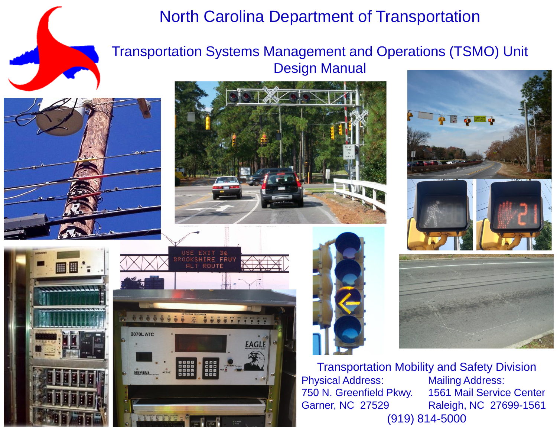

### North Carolina Department of Transportation

#### Transportation Systems Management and Operations (TSMO) Unit Design Manual



■图:





Transportation Mobility and Safety Division Physical Address: Mailing Address: 750 N. Greenfield Pkwy. 1561 Mail Service Center Garner, NC 27529 Raleigh, NC 27699-1561 (919) 814-5000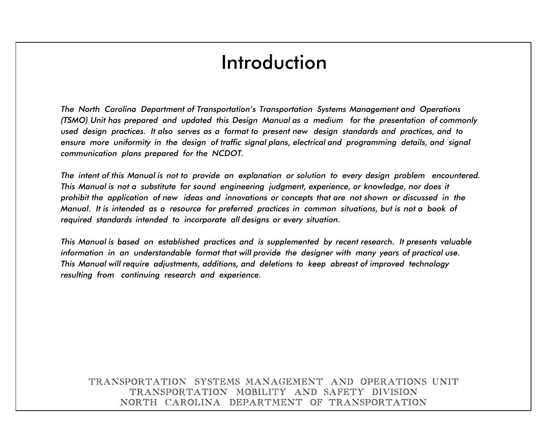## Introduction

communication plans prepared for the NCDOT. ensure more uniformity in the design of traffic signal plans, electrical and programming details, and signal used design practices. It also serves as a format to present new design standards and practices, and to (TSMO) Unit has prepared and updated this Design Manual as a medium for the presentation of commonly The North Carolina Department of Transportation's Transportation Systems Management and Operations

required standards intended to incorporate all designs or every situation. Manual. It is intended as a resource for preferred practices in common situations, but is not a book of prohibit the application of new ideas and innovations or concepts that are not shown or discussed in the This Manual is not a substitute for sound engineering judgment, experience, or knowledge, nor does it The intent of this Manual is not to provide an explanation or solution to every design problem encountered.

resulting from continuing research and experience. This Manual will require adjustments, additions, and deletions to keep abreast of improved technology information in an understandable format that will provide the designer with many years of practical use. This Manual is based on established practices and is supplemented by recent research. It presents valuable

#### NORTH CAROLINA DEPARTMENT OF TRANSPORTATION TRANSPORTATION MOBILITY AND SAFETY DIVISION TRANSPORTATION SYSTEMS MANAGEMENT AND OPERATIONS UNIT